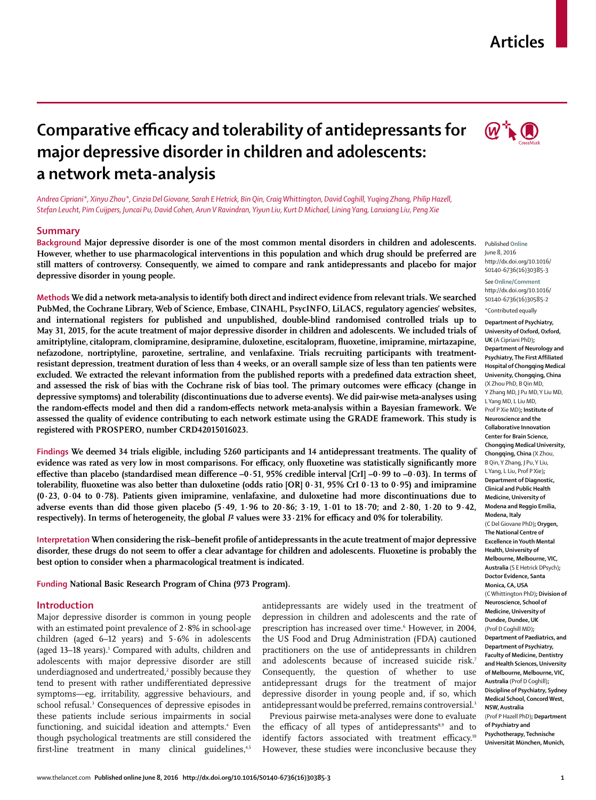## **Articles**



# **Comparative efficacy and tolerability of antidepressants for major depressive disorder in children and adolescents: a network meta-analysis**

*Andrea Cipriani\*, Xinyu Zhou\*, Cinzia Del Giovane, Sarah E Hetrick, Bin Qin, Craig Whittington, David Coghill, Yuqing Zhang, Philip Hazell, Stefan Leucht, Pim Cuijpers, Juncai Pu, David Cohen, Arun V Ravindran, Yiyun Liu, Kurt D Michael, Lining Yang, Lanxiang Liu, Peng Xie*

#### **Summary**

**Background Major depressive disorder is one of the most common mental disorders in children and adolescents. However, whether to use pharmacological interventions in this population and which drug should be preferred are still matters of controversy. Consequently, we aimed to compare and rank antidepressants and placebo for major depressive disorder in young people.**

**Methods We did a network meta-analysis to identify both direct and indirect evidence from relevant trials. We searched PubMed, the Cochrane Library, Web of Science, Embase, CINAHL, PsycINFO, LiLACS, regulatory agencies' websites, and international registers for published and unpublished, double-blind randomised controlled trials up to May 31, 2015, for the acute treatment of major depressive disorder in children and adolescents. We included trials of**  amitriptyline, citalopram, clomipramine, desipramine, duloxetine, escitalopram, fluoxetine, imipramine, mirtazapine, **nefazodone, nortriptyline, paroxetine, sertraline, and venlafaxine. Trials recruiting participants with treatmentresistant depression, treatment duration of less than 4 weeks, or an overall sample size of less than ten patients were**  excluded. We extracted the relevant information from the published reports with a predefined data extraction sheet, and assessed the risk of bias with the Cochrane risk of bias tool. The primary outcomes were efficacy (change in **depressive symptoms) and tolerability (discontinuations due to adverse events). We did pair-wise meta-analyses using**  the random-effects model and then did a random-effects network meta-analysis within a Bayesian framework. We **assessed the quality of evidence contributing to each network estimate using the GRADE framework. This study is registered with PROSPERO, number CRD42015016023.**

**Findings We deemed 34 trials eligible, including 5260 participants and 14 antidepressant treatments. The quality of**  evidence was rated as very low in most comparisons. For efficacy, only fluoxetine was statistically significantly more effective than placebo (standardised mean difference  $-0.51$ , 95% credible interval [CrI]  $-0.99$  to  $-0.03$ ). In terms of tolerability, fluoxetine was also better than duloxetine (odds ratio  $|OR|$   $0.31$ ,  $95\%$  CrI  $0.13$  to  $0.95$ ) and imipramine **(0·23, 0·04 to 0·78). Patients given imipramine, venlafaxine, and duloxetine had more discontinuations due to adverse events than did those given placebo (5·49, 1·96 to 20·86; 3·19, 1·01 to 18·70; and 2·80, 1·20 to 9·42,**  respectively). In terms of heterogeneity, the global *I*<sup>2</sup> values were 33 · 21% for efficacy and 0% for tolerability.

**Interpretation When considering the risk–benefi t profile of antidepressants in the acute treatment of major depressive**  disorder, these drugs do not seem to offer a clear advantage for children and adolescents. Fluoxetine is probably the **best option to consider when a pharmacological treatment is indicated.**

**Funding National Basic Research Program of China (973 Program).**

#### **Introduction**

Major depressive disorder is common in young people with an estimated point prevalence of 2·8% in school-age children (aged 6–12 years) and 5·6% in adolescents (aged 13–18 years).<sup>1</sup> Compared with adults, children and adolescents with major depressive disorder are still underdiagnosed and undertreated, $\mathrm{\textbf{2}}$  possibly because they tend to present with rather undifferentiated depressive symptoms—eg, irritability, aggressive behaviours, and school refusal.<sup>3</sup> Consequences of depressive episodes in these patients include serious impairments in social functioning, and suicidal ideation and attempts.<sup>4</sup> Even though psychological treatments are still considered the first-line treatment in many clinical guidelines,<sup>4,5</sup>

antidepressants are widely used in the treatment of depression in children and adolescents and the rate of prescription has increased over time.<sup>6</sup> However, in 2004, the US Food and Drug Administration (FDA) cautioned practitioners on the use of antidepressants in children and adolescents because of increased suicide risk.<sup>7</sup> Consequently, the question of whether to use antidepressant drugs for the treatment of major depressive disorder in young people and, if so, which antidepressant would be preferred, remains controversial.<sup>3</sup>

Previous pairwise meta-analyses were done to evaluate the efficacy of all types of antidepressants<sup>8,9</sup> and to identify factors associated with treatment efficacy.<sup>10</sup> However, these studies were inconclusive because they



http://dx.doi.org/10.1016/ S0140-6736(16)30585-2 \*Contributed equally

**Department of Psychiatry, University of Oxford, Oxford, UK** (A Cipriani PhD)**; Department of Neurology and Psychiatry, The First Affiliated Hospital of Chongqing Medical University, Chongqing, China**  (X Zhou PhD, B Qin MD, Y Zhang MD, J Pu MD, Y Liu MD, L Yang MD, L Liu MD, Prof P Xie MD)**; Institute of Neuroscience and the Collaborative Innovation Center for Brain Science, Chongqing Medical University, Chongqing, China** (X Zhou, B Qin, Y Zhang, J Pu, Y Liu, L Yang, L Liu, Prof P Xie)**; Department of Diagnostic, Clinical and Public Health Medicine, University of Modena and Reggio Emilia, Modena, Italy**  (C Del Giovane PhD)**; Orygen, The National Centre of Excellence in Youth Mental Health, University of Melbourne, Melbourne, VIC, Australia** (S E Hetrick DPsych)**; Doctor Evidence, Santa Monica, CA, USA**  (C Whittington PhD)**; Division of Neuroscience, School of Medicine, University of Dundee, Dundee, UK**  (Prof D Coghill MD)**; Department of Paediatrics, and Department of Psychiatry, Faculty of Medicine, Dentistry and Health Sciences, University of Melbourne, Melbourne, VIC, Australia** (Prof D Coghill)**; Discipline of Psychiatry, Sydney Medical School, Concord West, NSW, Australia**  (Prof P Hazell PhD)**; Department of Psychiatry and Psychotherapy, Technische Universität München, Munich,**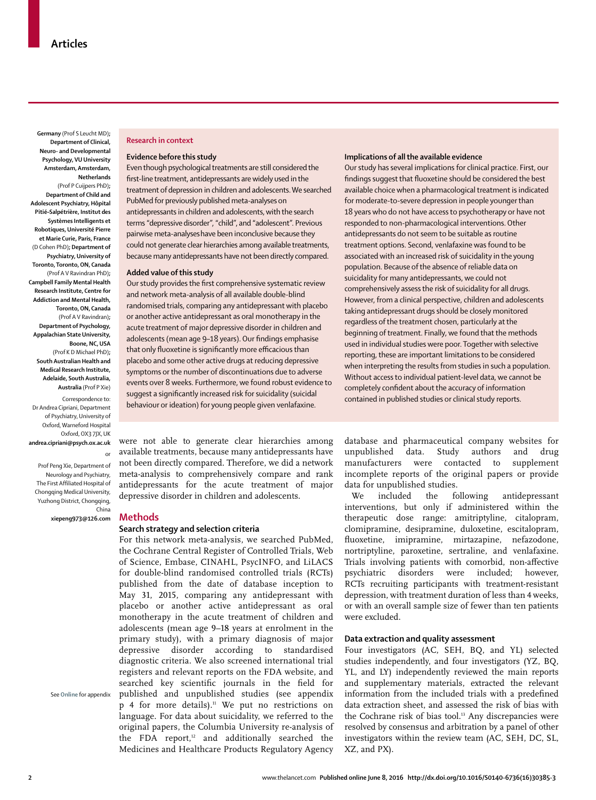**Germany** (Prof S Leucht MD)**; Department of Clinical, Neuro- and Developmental Psychology, VU University Amsterdam, Amsterdam, Netherlands**  (Prof P Cuijpers PhD)**; Department of Child and Adolescent Psychiatry, Hôpital Pitié–Salpétrière, Institut des Systèmes Intelligents et Robotiques, Université Pierre et Marie Curie, Paris, France**  (D Cohen PhD)**; Department of Psychiatry, University of Toronto, Toronto, ON, Canada**  (Prof A V Ravindran PhD)**; Campbell Family Mental Health Research Institute, Centre for Addiction and Mental Health, Toronto, ON, Canada**  (Prof A V Ravindran)**; Department of Psychology, Appalachian State University, Boone, NC, USA**  (Prof K D Michael PhD)**; South Australian Health and Medical Research Institute, Adelaide, South Australia, Australia** (Prof P Xie)

Correspondence to: Dr Andrea Cipriani, Department of Psychiatry, University of Oxford, Warneford Hospital Oxford, OX3 7JX, UK **andrea.cipriani@psych.ox.ac.uk**

Prof Peng Xie, Department of Neurology and Psychiatry, The First Affiliated Hospital of Chongqing Medical University, Yuzhong District, Chongqing, China

or

**Methods**

**xiepeng973@126.com**

See **Online** for appendix

#### **Research in context**

#### **Evidence before this study**

Even though psychological treatments are still considered the first-line treatment, antidepressants are widely used in the treatment of depression in children and adolescents. We searched PubMed for previously published meta-analyses on antidepressants in children and adolescents, with the search terms "depressive disorder", "child", and "adolescent". Previous pairwise meta-analyseshave been inconclusive because they could not generate clear hierarchies among available treatments, because many antidepressants have not been directly compared.

#### **Added value of this study**

Our study provides the first comprehensive systematic review and network meta-analysis of all available double-blind randomised trials, comparing any antidepressant with placebo or another active antidepressant as oral monotherapy in the acute treatment of major depressive disorder in children and adolescents (mean age 9-18 years). Our findings emphasise that only fluoxetine is significantly more efficacious than placebo and some other active drugs at reducing depressive symptoms or the number of discontinuations due to adverse events over 8 weeks. Furthermore, we found robust evidence to suggest a significantly increased risk for suicidality (suicidal behaviour or ideation) for young people given venlafaxine.

were not able to generate clear hierarchies among available treatments, because many antidepressants have not been directly compared. Therefore, we did a network meta-analysis to comprehensively compare and rank antidepressants for the acute treatment of major depressive disorder in children and adolescents.

## **Search strategy and selection criteria**

For this network meta-analysis, we searched PubMed, the Cochrane Central Register of Controlled Trials, Web of Science, Embase, CINAHL, PsycINFO, and LiLACS for double-blind randomised controlled trials (RCTs) published from the date of database inception to May 31, 2015, comparing any antidepressant with placebo or another active antidepressant as oral monotherapy in the acute treatment of children and adolescents (mean age 9–18 years at enrolment in the primary study), with a primary diagnosis of major depressive disorder according to standardised diagnostic criteria. We also screened international trial registers and relevant reports on the FDA website, and searched key scientific journals in the field for published and unpublished studies (see appendix p 4 for more details).11 We put no restrictions on language. For data about suicidality, we referred to the original papers, the Columbia University re-analysis of the FDA report, $12$  and additionally searched the Medicines and Healthcare Products Regulatory Agency

#### **Implications of all the available evidence**

Our study has several implications for clinical practice. First, our findings suggest that fluoxetine should be considered the best available choice when a pharmacological treatment is indicated for moderate-to-severe depression in people younger than 18 years who do not have access to psychotherapy or have not responded to non-pharmacological interventions. Other antidepressants do not seem to be suitable as routine treatment options. Second, venlafaxine was found to be associated with an increased risk of suicidality in the young population. Because of the absence of reliable data on suicidality for many antidepressants, we could not comprehensively assess the risk of suicidality for all drugs. However, from a clinical perspective, children and adolescents taking antidepressant drugs should be closely monitored regardless of the treatment chosen, particularly at the beginning of treatment. Finally, we found that the methods used in individual studies were poor. Together with selective reporting, these are important limitations to be considered when interpreting the results from studies in such a population. Without access to individual patient-level data, we cannot be completely confident about the accuracy of information contained in published studies or clinical study reports.

database and pharmaceutical company websites for unpublished data. Study authors and drug manufacturers were contacted to supplement incomplete reports of the original papers or provide data for unpublished studies.

We included the following antidepressant interventions, but only if administered within the therapeutic dose range: amitriptyline, citalopram, clomipramine, desipramine, duloxetine, escitalopram, fluoxetine, imipramine, mirtazapine, nefazodone, nortriptyline, paroxetine, sertraline, and venlafaxine. Trials involving patients with comorbid, non-affective psychiatric disorders were included; however, RCTs recruiting participants with treatment-resistant depression, with treatment duration of less than 4 weeks, or with an overall sample size of fewer than ten patients were excluded.

## **Data extraction and quality assessment**

Four investigators (AC, SEH, BQ, and YL) selected studies independently, and four investigators (YZ, BQ, YL, and LY) independently reviewed the main reports and supplementary materials, extracted the relevant information from the included trials with a predefined data extraction sheet, and assessed the risk of bias with the Cochrane risk of bias tool.<sup>13</sup> Any discrepancies were resolved by consensus and arbitration by a panel of other investigators within the review team (AC, SEH, DC, SL, XZ, and PX).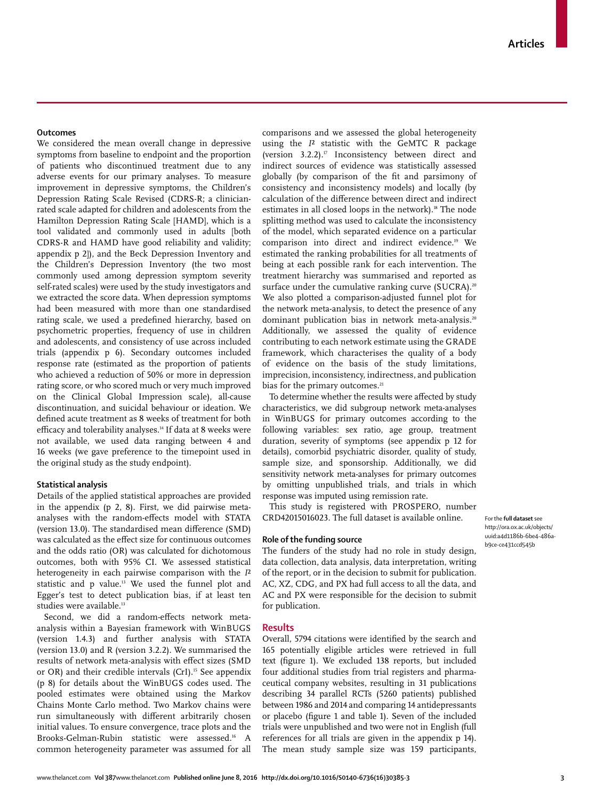## **Outcomes**

We considered the mean overall change in depressive symptoms from baseline to endpoint and the proportion of patients who discontinued treatment due to any adverse events for our primary analyses. To measure improvement in depressive symptoms, the Children's Depression Rating Scale Revised (CDRS-R; a clinicianrated scale adapted for children and adolescents from the Hamilton Depression Rating Scale [HAMD], which is a tool validated and commonly used in adults [both CDRS-R and HAMD have good reliability and validity; appendix p 2]), and the Beck Depression Inventory and the Children's Depression Inventory (the two most commonly used among depression symptom severity self-rated scales) were used by the study investigators and we extracted the score data. When depression symptoms had been measured with more than one standardised rating scale, we used a predefined hierarchy, based on psychometric properties, frequency of use in children and adolescents, and consistency of use across included trials (appendix p 6). Secondary outcomes included response rate (estimated as the proportion of patients who achieved a reduction of 50% or more in depression rating score, or who scored much or very much improved on the Clinical Global Impression scale), all-cause discontinuation, and suicidal behaviour or ideation. We defined acute treatment as 8 weeks of treatment for both efficacy and tolerability analyses.<sup>14</sup> If data at 8 weeks were not available, we used data ranging between 4 and 16 weeks (we gave preference to the timepoint used in the original study as the study endpoint).

## **Statistical analysis**

Details of the applied statistical approaches are provided in the appendix (p 2, 8). First, we did pairwise metaanalyses with the random-effects model with STATA (version  $13.0$ ). The standardised mean difference  $(SMD)$ was calculated as the effect size for continuous outcomes and the odds ratio (OR) was calculated for dichotomous outcomes, both with 95% CI. We assessed statistical heterogeneity in each pairwise comparison with the *I*² statistic and p value.13 We used the funnel plot and Egger's test to detect publication bias, if at least ten studies were available.<sup>13</sup>

Second, we did a random-effects network metaanalysis within a Bayesian framework with WinBUGS (version 1.4.3) and further analysis with STATA (version 13.0) and R (version 3.2.2). We summarised the results of network meta-analysis with effect sizes (SMD or OR) and their credible intervals (CrI).<sup>15</sup> See appendix (p 8) for details about the WinBUGS codes used. The pooled estimates were obtained using the Markov Chains Monte Carlo method. Two Markov chains were run simultaneously with different arbitrarily chosen initial values. To ensure convergence, trace plots and the Brooks-Gelman-Rubin statistic were assessed.16 A common heterogeneity parameter was assumed for all comparisons and we assessed the global heterogeneity using the *I*² statistic with the GeMTC R package (version  $3.2.2$ ).<sup>17</sup> Inconsistency between direct and indirect sources of evidence was statistically assessed globally (by comparison of the fit and parsimony of consistency and inconsistency models) and locally (by calculation of the difference between direct and indirect estimates in all closed loops in the network).<sup>18</sup> The node splitting method was used to calculate the inconsistency of the model, which separated evidence on a particular comparison into direct and indirect evidence.19 We estimated the ranking probabilities for all treatments of being at each possible rank for each intervention. The treatment hierarchy was summarised and reported as surface under the cumulative ranking curve (SUCRA).<sup>20</sup> We also plotted a comparison-adjusted funnel plot for the network meta-analysis, to detect the presence of any dominant publication bias in network meta-analysis.<sup>20</sup> Additionally, we assessed the quality of evidence contributing to each network estimate using the GRADE framework, which characterises the quality of a body of evidence on the basis of the study limitations, imprecision, inconsistency, indirectness, and publication bias for the primary outcomes.<sup>21</sup>

To determine whether the results were affected by study characteristics, we did subgroup network meta-analyses in WinBUGS for primary outcomes according to the following variables: sex ratio, age group, treatment duration, severity of symptoms (see appendix p 12 for details), comorbid psychiatric disorder, quality of study, sample size, and sponsorship. Additionally, we did sensitivity network meta-analyses for primary outcomes by omitting unpublished trials, and trials in which response was imputed using remission rate.

This study is registered with PROSPERO, number CRD42015016023. The full dataset is available online.

#### **Role of the funding source**

The funders of the study had no role in study design, data collection, data analysis, data interpretation, writing of the report, or in the decision to submit for publication. AC, XZ, CDG, and PX had full access to all the data, and AC and PX were responsible for the decision to submit for publication.

#### **Results**

Overall, 5794 citations were identified by the search and 165 potentially eligible articles were retrieved in full text (figure 1). We excluded 138 reports, but included four additional studies from trial registers and pharmaceutical company websites, resulting in 31 publications describing 34 parallel RCTs (5260 patients) published between 1986 and 2014 and comparing 14 antidepressants or placebo (figure 1 and table 1). Seven of the included trials were unpublished and two were not in English (full references for all trials are given in the appendix p 14). The mean study sample size was 159 participants,

For the **full dataset** see http://ora.ox.ac.uk/objects/ uuid:a4d1186b-6be4-486ab9ce-ce431ccd545b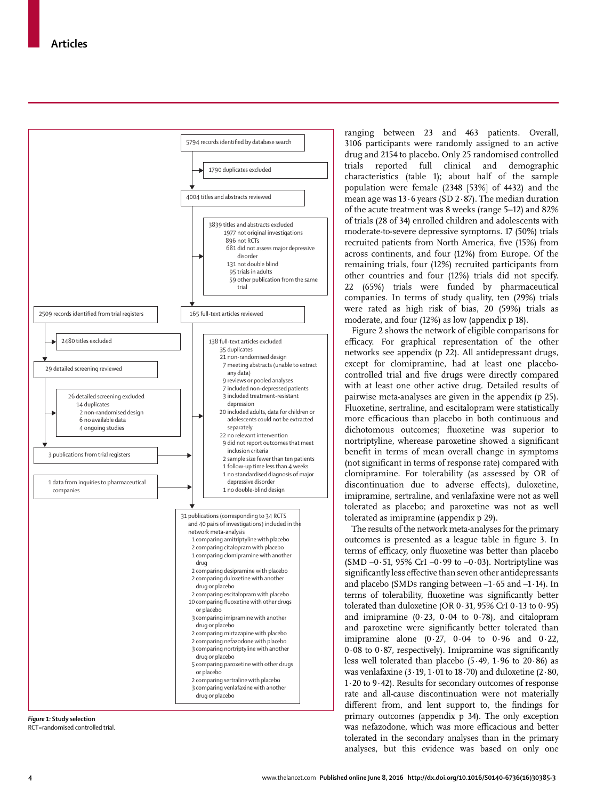

*Figure 1:* **Study selection** RCT=randomised controlled trial. ranging between 23 and 463 patients. Overall, 3106 participants were randomly assigned to an active drug and 2154 to placebo. Only 25 randomised controlled trials reported full clinical and demographic characteristics (table 1); about half of the sample population were female (2348 [53%] of 4432) and the mean age was  $13.6$  years (SD  $2.87$ ). The median duration of the acute treatment was 8 weeks (range 5–12) and 82% of trials (28 of 34) enrolled children and adolescents with moderate-to-severe depressive symptoms. 17 (50%) trials recruited patients from North America, five (15%) from across continents, and four (12%) from Europe. Of the remaining trials, four (12%) recruited participants from other countries and four (12%) trials did not specify. 22 (65%) trials were funded by pharmaceutical companies. In terms of study quality, ten (29%) trials were rated as high risk of bias, 20 (59%) trials as moderate, and four (12%) as low (appendix p 18).

Figure 2 shows the network of eligible comparisons for efficacy. For graphical representation of the other networks see appendix (p 22). All antidepressant drugs, except for clomipramine, had at least one placebocontrolled trial and five drugs were directly compared with at least one other active drug. Detailed results of pairwise meta-analyses are given in the appendix (p 25). Fluoxetine, sertraline, and escitalopram were statistically more efficacious than placebo in both continuous and dichotomous outcomes; fluoxetine was superior to nortriptyline, wherease paroxetine showed a significant benefit in terms of mean overall change in symptoms (not significant in terms of response rate) compared with clomipramine. For tolerability (as assessed by OR of discontinuation due to adverse effects), duloxetine, imipramine, sertraline, and venlafaxine were not as well tolerated as placebo; and paroxetine was not as well tolerated as imipramine (appendix p 29).

The results of the network meta-analyses for the primary outcomes is presented as a league table in figure 3. In terms of efficacy, only fluoxetine was better than placebo (SMD  $-0.51$ , 95% CrI  $-0.99$  to  $-0.03$ ). Nortriptyline was significantly less effective than seven other antidepressants and placebo (SMDs ranging between –1·65 and –1·14). In terms of tolerability, fluoxetine was significantly better tolerated than duloxetine (OR  $0.31$ , 95% CrI  $0.13$  to  $0.95$ ) and imipramine  $(0.23, 0.04$  to  $0.78)$ , and citalopram and paroxetine were significantly better tolerated than imipramine alone (0 $\cdot$ 27, 0 $\cdot$ 04 to 0 $\cdot$ 96 and 0 $\cdot$ 22,  $0.08$  to  $0.87$ , respectively). Imipramine was significantly less well tolerated than placebo (5·49, 1·96 to 20·86) as was venlafaxine  $(3.19, 1.01$  to  $18.70$ ) and duloxetine  $(2.80, 1.01)$ 1·20 to 9·42). Results for secondary outcomes of response rate and all-cause discontinuation were not materially different from, and lent support to, the findings for primary outcomes (appendix p 34). The only exception was nefazodone, which was more efficacious and better tolerated in the secondary analyses than in the primary analyses, but this evidence was based on only one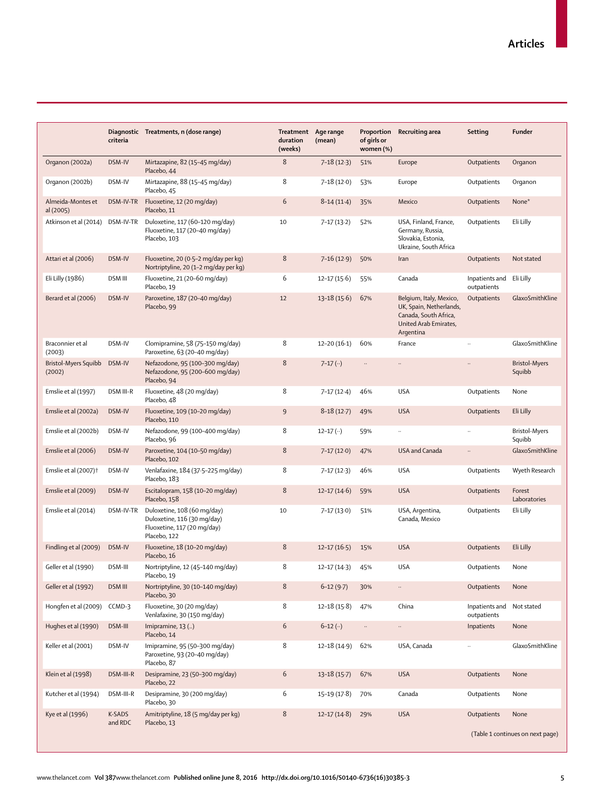|                                  |                   | Diagnostic Treatments, n (dose range)                                                                     | Treatment Age range |                             | Proportion               | Recruiting area                                                                                                   | Setting                                  | Funder                           |
|----------------------------------|-------------------|-----------------------------------------------------------------------------------------------------------|---------------------|-----------------------------|--------------------------|-------------------------------------------------------------------------------------------------------------------|------------------------------------------|----------------------------------|
|                                  | criteria          |                                                                                                           | duration<br>(weeks) | (mean)                      | of girls or<br>women (%) |                                                                                                                   |                                          |                                  |
| Organon (2002a)                  | DSM-IV            | Mirtazapine, 82 (15-45 mg/day)<br>Placebo, 44                                                             | $\,8\,$             | $7 - 18(12.3)$              | 51%                      | Europe                                                                                                            | Outpatients                              | Organon                          |
| Organon (2002b)                  | DSM-IV            | Mirtazapine, 88 (15-45 mg/day)<br>Placebo, 45                                                             | 8                   | $7 - 18(12.0)$              | 53%                      | Europe                                                                                                            | Outpatients                              | Organon                          |
| Almeida-Montes et<br>al (2005)   | DSM-IV-TR         | Fluoxetine, 12 (20 mg/day)<br>Placebo, 11                                                                 | 6                   | $8-14(11-4)$                | 35%                      | Mexico                                                                                                            | Outpatients                              | None*                            |
| Atkinson et al (2014)            | DSM-IV-TR         | Duloxetine, 117 (60-120 mg/day)<br>Fluoxetine, 117 (20-40 mg/day)<br>Placebo, 103                         | 10                  | $7 - 17(13.2)$              | 52%                      | USA, Finland, France,<br>Germany, Russia,<br>Slovakia, Estonia,<br>Ukraine, South Africa                          | Outpatients                              | Eli Lilly                        |
| Attari et al (2006)              | DSM-IV            | Fluoxetine, 20 (0.5-2 mg/day per kg)<br>Nortriptyline, 20 (1-2 mg/day per kg)                             | 8                   | $7 - 16(12.9)$              | 50%                      | Iran                                                                                                              | Outpatients                              | Not stated                       |
| Eli Lilly (1986)                 | <b>DSM III</b>    | Fluoxetine, 21 (20-60 mg/day)<br>Placebo, 19                                                              | 6                   | $12 - 17(15.6)$             | 55%                      | Canada                                                                                                            | Inpatients and<br>outpatients            | Eli Lilly                        |
| Berard et al (2006)              | DSM-IV            | Paroxetine, 187 (20-40 mg/day)<br>Placebo, 99                                                             | 12                  | $13 - 18(15.6)$             | 67%                      | Belgium, Italy, Mexico,<br>UK, Spain, Netherlands,<br>Canada, South Africa,<br>United Arab Emirates,<br>Argentina | Outpatients                              | GlaxoSmithKline                  |
| Braconnier et al<br>(2003)       | DSM-IV            | Clomipramine, 58 (75-150 mg/day)<br>Paroxetine, 63 (20-40 mg/day)                                         | 8                   | $12 - 20(16-1)$             | 60%                      | France                                                                                                            | $\ddot{\phantom{a}}$                     | GlaxoSmithKline                  |
| Bristol-Myers Squibb<br>(2002)   | DSM-IV            | Nefazodone, 95 (100-300 mg/day)<br>Nefazodone, 95 (200-600 mg/day)<br>Placebo, 94                         | 8                   | $7 - 17$ ( $\cdot \cdot$ )  | $\ddotsc$                |                                                                                                                   |                                          | <b>Bristol-Myers</b><br>Squibb   |
| Emslie et al (1997)              | <b>DSM III-R</b>  | Fluoxetine, 48 (20 mg/day)<br>Placebo, 48                                                                 | 8                   | $7-17(12-4)$                | 46%                      | <b>USA</b>                                                                                                        | Outpatients                              | None                             |
| Emslie et al (2002a)             | DSM-IV            | Fluoxetine, 109 (10-20 mg/day)<br>Placebo, 110                                                            | $\overline{9}$      | $8-18(12-7)$                | 49%                      | <b>USA</b>                                                                                                        | Outpatients                              | Eli Lilly                        |
| Emslie et al (2002b)             | DSM-IV            | Nefazodone, 99 (100-400 mg/day)<br>Placebo, 96                                                            | 8                   | $12 - 17$ ( $\cdot \cdot$ ) | 59%                      |                                                                                                                   | $\ddot{\phantom{a}}$                     | <b>Bristol-Myers</b><br>Squibb   |
| Emslie et al (2006)              | DSM-IV            | Paroxetine, 104 (10-50 mg/day)<br>Placebo, 102                                                            | 8                   | $7-17(12.0)$                | 47%                      | <b>USA and Canada</b>                                                                                             | $\ddotsc$                                | GlaxoSmithKline                  |
| Emslie et al (2007) <sup>+</sup> | DSM-IV            | Venlafaxine, 184 (37.5-225 mg/day)<br>Placebo, 183                                                        | 8                   | $7 - 17(12.3)$              | 46%                      | <b>USA</b>                                                                                                        | Outpatients                              | Wyeth Research                   |
| Emslie et al (2009)              | DSM-IV            | Escitalopram, 158 (10-20 mg/day)<br>Placebo, 158                                                          | 8                   | $12 - 17(14.6)$             | 59%                      | <b>USA</b>                                                                                                        | Outpatients                              | Forest<br>Laboratories           |
| Emslie et al (2014)              | DSM-IV-TR         | Duloxetine, 108 (60 mg/day)<br>Duloxetine, 116 (30 mg/day)<br>Fluoxetine, 117 (20 mg/day)<br>Placebo, 122 | 10                  | $7 - 17(13.0)$              | 51%                      | USA, Argentina,<br>Canada, Mexico                                                                                 | Outpatients                              | Eli Lilly                        |
| Findling et al (2009)            | DSM-IV            | Fluoxetine, 18 (10-20 mg/day)<br>Placebo, 16                                                              | 8                   | $12 - 17(16.5)$             | 15%                      | <b>USA</b>                                                                                                        | Outpatients                              | Eli Lilly                        |
| Geller et al (1990)              | DSM-III           | Nortriptyline, 12 (45-140 mg/day)<br>Placebo, 19                                                          | 8                   | $12 - 17(14-3)$             | 45%                      | <b>USA</b>                                                                                                        | Outpatients                              | None                             |
| Geller et al (1992)              | <b>DSM III</b>    | Nortriptyline, 30 (10-140 mg/day)<br>Placebo, 30                                                          | $\,8\,$             | $6-12(9-7)$                 | 30%                      |                                                                                                                   | Outpatients                              | None                             |
| Hongfen et al (2009)             | CCMD-3            | Fluoxetine, 30 (20 mg/day)<br>Venlafaxine, 30 (150 mg/day)                                                | 8                   | $12 - 18(15.8)$             | 47%                      | China                                                                                                             | Inpatients and Not stated<br>outpatients |                                  |
| Hughes et al (1990)              | DSM-III           | Imipramine, 13 ()<br>Placebo, 14                                                                          | $6\,$               | $6-12$ $($ )                | $\cdot\cdot$             | $\ddotsc$                                                                                                         | Inpatients                               | None                             |
| Keller et al (2001)              | DSM-IV            | Imipramine, 95 (50-300 mg/day)<br>Paroxetine, 93 (20-40 mg/day)<br>Placebo, 87                            | 8                   | $12 - 18(14.9)$             | 62%                      | USA, Canada                                                                                                       |                                          | GlaxoSmithKline                  |
| Klein et al (1998)               | DSM-III-R         | Desipramine, 23 (50-300 mg/day)<br>Placebo, 22                                                            | $6\,$               | $13-18(15.7)$               | 67%                      | <b>USA</b>                                                                                                        | Outpatients                              | None                             |
| Kutcher et al (1994)             | DSM-III-R         | Desipramine, 30 (200 mg/day)<br>Placebo, 30                                                               | 6                   | $15-19(17.8)$               | 70%                      | Canada                                                                                                            | Outpatients                              | None                             |
| Kye et al (1996)                 | K-SADS<br>and RDC | Amitriptyline, 18 (5 mg/day per kg)<br>Placebo, 13                                                        | $\,8\,$             | $12 - 17(14.8)$             | 29%                      | <b>USA</b>                                                                                                        | Outpatients                              | None                             |
|                                  |                   |                                                                                                           |                     |                             |                          |                                                                                                                   |                                          | (Table 1 continues on next page) |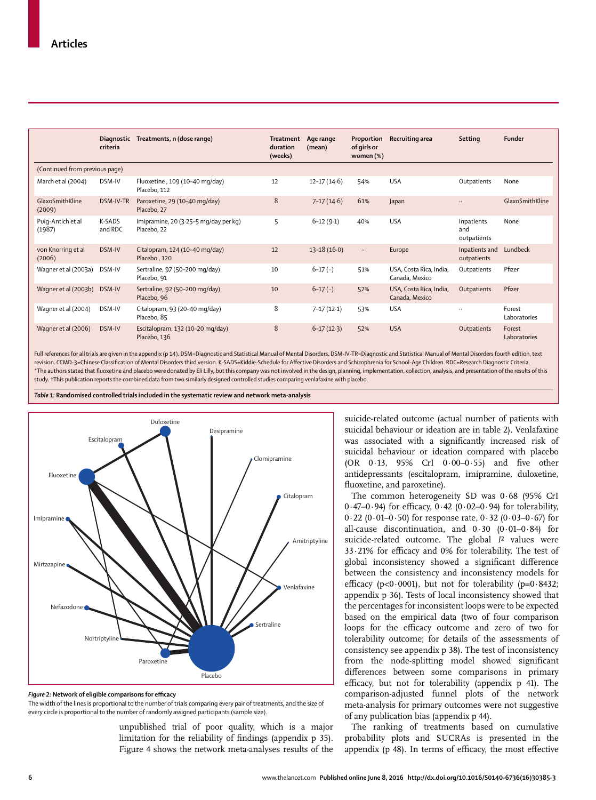|                                | <b>Diagnostic</b><br>criteria | Treatments, n (dose range)                           | <b>Treatment</b><br>duration<br>(weeks) | Age range<br>(mean) | Proportion<br>of girls or<br>women (%) | Recruiting area                           | Setting                          | <b>Funder</b>          |
|--------------------------------|-------------------------------|------------------------------------------------------|-----------------------------------------|---------------------|----------------------------------------|-------------------------------------------|----------------------------------|------------------------|
| (Continued from previous page) |                               |                                                      |                                         |                     |                                        |                                           |                                  |                        |
| March et al (2004)             | DSM-IV                        | Fluoxetine, 109 (10-40 mg/day)<br>Placebo, 112       | 12                                      | $12 - 17(14.6)$     | 54%                                    | <b>USA</b>                                | Outpatients                      | None                   |
| GlaxoSmithKline<br>(2009)      | DSM-IV-TR                     | Paroxetine, 29 (10-40 mg/day)<br>Placebo, 27         | 8                                       | $7 - 17(14.6)$      | 61%                                    | Japan                                     | $\ddotsc$                        | GlaxoSmithKline        |
| Puig-Antich et al<br>(1987)    | K-SADS<br>and RDC             | Imipramine, 20 (3.25-5 mg/day per kg)<br>Placebo, 22 | 5                                       | $6-12(9.1)$         | 40%                                    | <b>USA</b>                                | Inpatients<br>and<br>outpatients | None                   |
| von Knorring et al<br>(2006)   | DSM-IV                        | Citalopram, 124 (10-40 mg/day)<br>Placebo, 120       | 12                                      | $13 - 18(16.0)$     | $\ldots$                               | Europe                                    | Inpatients and<br>outpatients    | Lundbeck               |
| Wagner et al (2003a)           | DSM-IV                        | Sertraline, 97 (50-200 mg/day)<br>Placebo, 91        | 10                                      | $6-17$ $($ )        | 51%                                    | USA, Costa Rica, India,<br>Canada, Mexico | Outpatients                      | Pfizer                 |
| Wagner et al (2003b)           | DSM-IV                        | Sertraline, 92 (50-200 mg/day)<br>Placebo, 96        | 10                                      | $6-17$ $($ )        | 52%                                    | USA, Costa Rica, India,<br>Canada, Mexico | Outpatients                      | Pfizer                 |
| Wagner et al (2004)            | DSM-IV                        | Citalopram, 93 (20-40 mg/day)<br>Placebo, 85         | 8                                       | $7 - 17(12.1)$      | 53%                                    | <b>USA</b>                                | $\ddotsc$                        | Forest<br>Laboratories |
| Wagner et al (2006)            | DSM-IV                        | Escitalopram, 132 (10-20 mg/day)<br>Placebo, 136     | 8                                       | $6 - 17(12)$        | 52%                                    | <b>USA</b>                                | Outpatients                      | Forest<br>Laboratories |

Full references for all trials are given in the appendix (p 14). DSM=Diagnostic and Statistical Manual of Mental Disorders. DSM-IV-TR=Diagnostic and Statistical Manual of Mental Disorders fourth edition, text revision. CCMD-3=Chinese Classifi cation of Mental Disorders third version. K-SADS=Kiddie-Schedule for Aff ective Disorders and Schizophrenia for School-Age Children. RDC=Research Diagnostic Criteria. \*The authors stated that fluoxetine and placebo were donated by Eli Lilly, but this company was not involved in the design, planning, implementation, collection, analysis, and presentation of the results of this study. †This publication reports the combined data from two similarly designed controlled studies comparing venlafaxine with placebo.

*Table 1:* **Randomised controlled trials included in the systematic review and network meta-analysis**



Figure 2: Network of eligible comparisons for efficacy The width of the lines is proportional to the number of trials comparing every pair of treatments, and the size of every circle is proportional to the number of randomly assigned participants (sample size).

unpublished trial of poor quality, which is a major limitation for the reliability of findings (appendix p 35). Figure 4 shows the network meta-analyses results of the suicide-related outcome (actual number of patients with suicidal behaviour or ideation are in table 2). Venlafaxine was associated with a significantly increased risk of suicidal behaviour or ideation compared with placebo (OR  $0.13$ , 95% CrI  $0.00-0.55$ ) and five other antidepressants (escitalopram, imipramine, duloxetine, fluoxetine, and paroxetine).

The common heterogeneity SD was 0·68 (95% CrI  $0.47-0.94$ ) for efficacy,  $0.42$  ( $0.02-0.94$ ) for tolerability, 0.22 (0.01–0.50) for response rate,  $0.32$  (0.03–0.67) for all-cause discontinuation, and 0·30 (0·01–0·84) for suicide-related outcome. The global *I*² values were  $33.21\%$  for efficacy and 0% for tolerability. The test of global inconsistency showed a significant difference between the consistency and inconsistency models for efficacy (p<0.0001), but not for tolerability (p= $0.8432$ ; appendix p 36). Tests of local inconsistency showed that the percentages for inconsistent loops were to be expected based on the empirical data (two of four comparison loops for the efficacy outcome and zero of two for tolerability outcome; for details of the assessments of consistency see appendix p 38). The test of inconsistency from the node-splitting model showed significant differences between some comparisons in primary efficacy, but not for tolerability (appendix p 41). The comparison-adjusted funnel plots of the network meta-analysis for primary outcomes were not suggestive of any publication bias (appendix p 44).

The ranking of treatments based on cumulative probability plots and SUCRAs is presented in the appendix ( $p$  48). In terms of efficacy, the most effective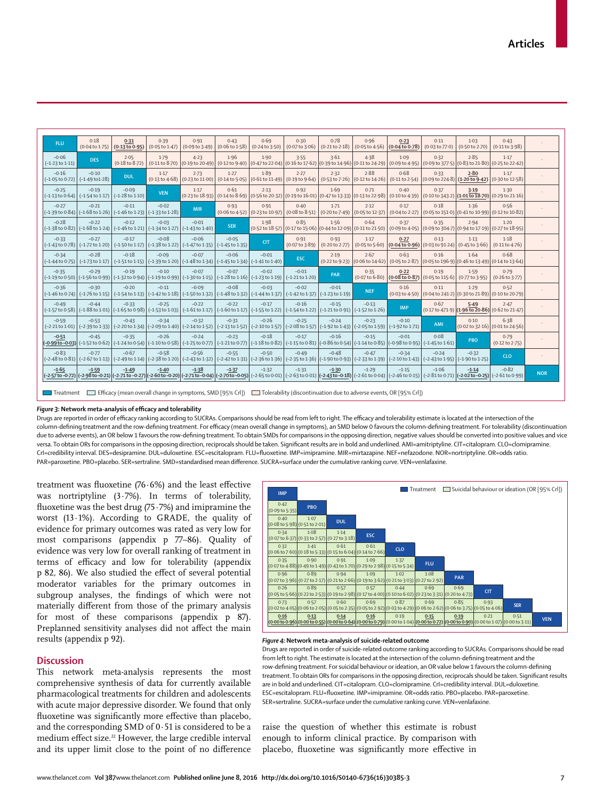| FLU.                                  | 0.18<br>$(0.04 \text{ to } 1.75)$                                                                                                                                                                                                                                                                                 | 0.31<br>(0.13 to 0.95)                | 0.39<br>$(0.05 \text{ to } 1.47)$ | 0.91<br>$(0.09 \text{ to } 3.49)$                                                                                                                                                                                                                                                                                                                                                                                             | 0.43<br>$(0.06 \text{ to } 1.58)$ | 0.69<br>$(0.24 \text{ to } 3.50)$                                                                                 | 0.30<br>(0.07 to 3.06) | 0.78<br>(0.21 to 2.18)            | 0.96<br>$(0.05 \text{ to } 4.56)$                            | 0.23<br>(0.04 to 0.78)                                                                                                                                                  | 0.11<br>$(0.03 \text{ to } 77.0)$                                                                                  | 1.03<br>(0.50 to 2.70) | 0.43<br>(0.11 to 3.98)                                                                                                                                                                                                                                                                                             |            |
|---------------------------------------|-------------------------------------------------------------------------------------------------------------------------------------------------------------------------------------------------------------------------------------------------------------------------------------------------------------------|---------------------------------------|-----------------------------------|-------------------------------------------------------------------------------------------------------------------------------------------------------------------------------------------------------------------------------------------------------------------------------------------------------------------------------------------------------------------------------------------------------------------------------|-----------------------------------|-------------------------------------------------------------------------------------------------------------------|------------------------|-----------------------------------|--------------------------------------------------------------|-------------------------------------------------------------------------------------------------------------------------------------------------------------------------|--------------------------------------------------------------------------------------------------------------------|------------------------|--------------------------------------------------------------------------------------------------------------------------------------------------------------------------------------------------------------------------------------------------------------------------------------------------------------------|------------|
| $-0.06$<br>$(-1.23 \text{ to } 1.11)$ | <b>DES</b>                                                                                                                                                                                                                                                                                                        | 2.05<br>$(0.18 \text{ to } 8.72)$     | 1.79<br>(0.11 to 8.70)            | $4 - 23$<br>$\left[\left(0.19\,\text{to}\,20.49\right)\right]\left(0.12\,\text{to}\,9.40\right] \left[\left(0.47\,\text{to}\,22.04\right)\right]\left(0.16\,\text{to}\,17.62\right] \left[ \left(0.39\,\text{to}\,14.96\right)\right] \left[ \left(0.11\,\text{to}\,24.29\right)\right] \left[ \left(0.9\,\text{to}\,4.95\right)\right] \left[ \left(0.09\,\text{to}\,377.5\right)\right] \left[ \left(0.83\,\text{to}\,21.8$ | 1.96                              | 1.90                                                                                                              | 3.55                   | 3.61                              | 4.38                                                         | 1.09                                                                                                                                                                    | 0.32                                                                                                               | 2.85                   | 1.17                                                                                                                                                                                                                                                                                                               |            |
| $-0.16$                               | $-0.10$<br>$(-1.05 \text{ to } 0.72)$ $(-1.49 \text{ to } 1.28)$                                                                                                                                                                                                                                                  | <b>DUL</b>                            | 1.17<br>$(0.13 \text{ to } 4.68)$ | 2.73                                                                                                                                                                                                                                                                                                                                                                                                                          | 1.27                              | 1.89<br>$(0.23 \text{ to } 11.00)$ $(0.14 \text{ to } 5.05)$ $(0.61 \text{ to } 11.49)$ $(0.19 \text{ to } 9.64)$ | 2.27                   | 2.32                              | 2.88<br>$(0.53 \text{ to } 7.26)$ $(0.12 \text{ to } 14.26)$ | 0.68<br>(0.11 to 2.54)                                                                                                                                                  | 0.33<br>$(0.09 \text{ to } 224.8)$ (1.20 to 9.42) (0.30 to 12.58)                                                  | $2 - 80$               | 1.17                                                                                                                                                                                                                                                                                                               |            |
| $-0.25$                               | $-0.19$<br>$(-1.13 \text{ to } 0.64)$ $(-1.54 \text{ to } 1.17)$                                                                                                                                                                                                                                                  | $-0.09$<br>$(-1.28 \text{ to } 1.10)$ | <b>VEN</b>                        | 1.17                                                                                                                                                                                                                                                                                                                                                                                                                          | 0.61                              | 2.13                                                                                                              | 0.92                   | 1.69                              | 0.71                                                         | 0.40<br>(0.23 to 18.93) (0.14 to 8.69) (0.56 to 20.32) (0.19 to 16.01) (0.47 to 13.33) (0.13 to 22.98) (0.10 to 4.39) (0.10 to 343.2) (1.01 to 18.70) (0.29 to 21.16)   | 0.37                                                                                                               | 3.19                   | 1.30                                                                                                                                                                                                                                                                                                               |            |
| $-0.27$                               | $-0.21$<br>$(-1.39 \text{ to } 0.84)$ $(-1.68 \text{ to } 1.26)$ $(-1.46 \text{ to } 1.23)$ $(-1.33 \text{ to } 1.28)$                                                                                                                                                                                            | $-0.11$                               | $-0.02$                           | <b>MIR</b>                                                                                                                                                                                                                                                                                                                                                                                                                    | 0.93                              | 0.91<br>$(0.06 \text{ to } 4.52)$ $(0.23 \text{ to } 10.97)$ $(0.08 \text{ to } 8.51)$                            | 0.40                   | 1.71<br>$(0.20 \text{ to } 7.49)$ | 2.12<br>$(0.05 \text{ to } 12.37)$                           | 0.17<br>$(0.04$ to 2.27)                                                                                                                                                | 0.18<br>$(0.05 \text{ to } 151.0)$ $(0.41 \text{ to } 10.99)$ $(0.12 \text{ to } 10.82)$                           | 1.36                   | 0.56                                                                                                                                                                                                                                                                                                               |            |
| $-0.28$                               | $-0.22$<br>$(-1.38 \text{ to } 0.82)$ $(-1.68 \text{ to } 1.24)$ $(-1.46 \text{ to } 1.21)$ $(-1.34 \text{ to } 1.27)$ $(-1.43 \text{ to } 1.40)$                                                                                                                                                                 | $-0.12$                               | $-0.03$                           | $-0.01$                                                                                                                                                                                                                                                                                                                                                                                                                       | <b>SER</b>                        | 1.98                                                                                                              | 0.85                   | 1.56                              | 0.64                                                         | 0.37                                                                                                                                                                    | 0.35                                                                                                               | 2.94                   | $1-20$<br>(0.52 to 18.57) (0.17 to 15.06) (0.44 to 12.09) (0.11 to 21.50) (0.09 to 4.05) (0.09 to 304.7) (0.94 to 17.19) (0.27 to 18.95)                                                                                                                                                                           |            |
| $-0.33$                               | $-0.27$<br>$(-1.43 \text{ to } 0.78)$ $(-1.72 \text{ to } 1.20)$                                                                                                                                                                                                                                                  | $-0.17$                               | $-0.08$                           | $-0.06$<br>$(-1.50 \text{ to } 1.17)$ $(-1.38 \text{ to } 1.22)$ $(-1.47 \text{ to } 1.35)$ $(-1.45 \text{ to } 1.35)$                                                                                                                                                                                                                                                                                                        | $-0.05$                           | <b>CIT</b>                                                                                                        | 0.91<br>(0.07 to 3.89) | 0.93<br>(0.20 to 2.77)            | 1.17<br>(0.05 to 5.60)                                       | 0.27<br>$(0.04 \text{ to } 0.96)$ $(0.03 \text{ to } 91.24)$ $(0.45 \text{ to } 3.66)$                                                                                  | 0.13                                                                                                               | 1.13                   | 1.18<br>(0.11 to 4.76)                                                                                                                                                                                                                                                                                             |            |
| $-0.34$                               | $-0.28$<br>$(-1.44 \text{ to } 0.75)$ $(-1.73 \text{ to } 1.17)$                                                                                                                                                                                                                                                  | $-0.18$                               | $-0.09$                           | $-0.07$<br>$(-1.51 \text{ to } 1.15)$ $(-1.39 \text{ to } 1.20)$ $(-1.48 \text{ to } 1.34)$ $(-1.45 \text{ to } 1.34)$ $(-1.41 \text{ to } 1.40)$                                                                                                                                                                                                                                                                             | $-0.06$                           | $-0.01$                                                                                                           | <b>ESC</b>             | 2.19                              | 2.67                                                         | 0.63<br>$(0.22 \text{ to } 9.23)$ $(0.06 \text{ to } 14.62)$ $(0.05 \text{ to } 2.87)$ $(0.05 \text{ to } 196.9)$ $(0.46 \text{ to } 13.49)$ $(0.14 \text{ to } 13.64)$ | 0.16                                                                                                               | 1.64                   | 0.68                                                                                                                                                                                                                                                                                                               |            |
| $-0.35$                               | $-0.29$<br>$(-1.19 \text{ to } 0.50)$ $(-1.56 \text{ to } 0.99)$ $(-1.32 \text{ to } 0.94)$ $(-1.19 \text{ to } 0.99)$ $(-1.30 \text{ to } 1.15)$ $(-1.28 \text{ to } 1.16)$ $(-1.23 \text{ to } 1.19)$ $(-1.21 \text{ to } 1.20)$                                                                                | $-0.19$                               | $-0.10$                           | $-0.07$                                                                                                                                                                                                                                                                                                                                                                                                                       | $-0.07$                           | $-0.02$                                                                                                           | $-0.01$                | PAR                               | 0.35<br>(0.07 to 6.80)                                       | 0.22<br>$(0.08 \text{ to } 0.87)$                                                                                                                                       | 0.19<br>$(0.05 \text{ to } 115.6)$ $(0.77 \text{ to } 3.95)$                                                       | 1.59                   | 0.79<br>$(0.26 \text{ to } 3.77)$                                                                                                                                                                                                                                                                                  |            |
| $-0.36$                               | $-0.30$<br>$(-1.46 \text{ to } 0.74)$ $(-1.76 \text{ to } 1.15)$ $(-1.54 \text{ to } 1.13)$ $(-1.42 \text{ to } 1.18)$ $(-1.50 \text{ to } 1.32)$ $(-1.48 \text{ to } 1.32)$ $(-1.44 \text{ to } 1.37)$ $(-1.42 \text{ to } 1.37)$ $(-1.23 \text{ to } 1.19)$                                                     | $-0.20$                               | $-0.11$                           | $-0.09$                                                                                                                                                                                                                                                                                                                                                                                                                       | $-0.08$                           | $-0.03$                                                                                                           | $-0.02$                | $-0.01$                           | <b>NEF</b>                                                   | 0.16                                                                                                                                                                    | 0.11<br>$(0.03 \text{ to } 4.50)$ $(0.04 \text{ to } 241.2)$ $(0.30 \text{ to } 21.89)$ $(0.10 \text{ to } 20.79)$ | 1.29                   | 0.52                                                                                                                                                                                                                                                                                                               |            |
| $-0.49$                               | $-0.44$<br>$(-1.57 \text{ to } 0.58)$ $(-1.88 \text{ to } 1.01)$ $(-1.65 \text{ to } 0.98)$ $(-1.53 \text{ to } 1.03)$ $(-1.61 \text{ to } 1.17)$ $(-1.60 \text{ to } 1.17)$ $(-1.55 \text{ to } 1.22)$ $(-1.54 \text{ to } 1.22)$ $(-1.21 \text{ to } 0.91)$ $(-1.52 \text{ to } 1.26)$                          | $-0.33$                               | $-0.25$                           | $-0.22$                                                                                                                                                                                                                                                                                                                                                                                                                       | $-0.22$                           | $-0.17$                                                                                                           | $-0.16$                | $-0.15$                           | $-0.13$                                                      | <b>IMP</b>                                                                                                                                                              | 0.67                                                                                                               | 5.49                   | 2.47<br>$(0.17 \text{ to } 471.9)$ $(1.96 \overline{\text{to } 20.86})$ $(0.62 \text{ to } 21.47)$                                                                                                                                                                                                                 |            |
| $-0.59$                               | $-0.53$<br>$(-2.21 \text{ to } 1.01)$ $(-2.29 \text{ to } 1.33)$ $(-2.20 \text{ to } 1.34)$ $(-2.09 \text{ to } 1.40)$ $(-2.14 \text{ to } 1.52)$ $(-2.13 \text{ to } 1.52)$ $(-2.10 \text{ to } 1.57)$ $(-2.08 \text{ to } 1.57)$ $(-2.98 \text{ to } 1.47)$ $(-2.9 \text{ to } 1.49)$ $(-2.9 \text{ to } 1.21)$ | $-0.43$                               | $-0.34$                           | $-0.32$                                                                                                                                                                                                                                                                                                                                                                                                                       | $-0.31$                           | $-0.26$                                                                                                           | $-0.25$                | $-0.24$                           | $-0.23$                                                      | $-0.10$                                                                                                                                                                 | AMI                                                                                                                | 0.10                   | 6.38<br>(0.02 to 32.16) (0.01 to 24.56)                                                                                                                                                                                                                                                                            |            |
| $-0.51$                               | $-0.45$<br>$(-0.99$ to $-0.03)$ $(-1.52$ to $0.62)$ $(-1.24$ to $0.54)$ $(-1.10$ to $0.58)$ $(-1.25$ to $0.77)$ $(-1.21$ to $0.77)$ $(-1.18$ to $0.82)$ $(-1.15$ to $0.81)$ $(-0.86$ to $0.54)$ $(-1.44$ to $0.85)$ $(-0.98$ to $0.95)$ $(-1.45$ to                                                               | $-0.35$                               | $-0.26$                           | $-0.24$                                                                                                                                                                                                                                                                                                                                                                                                                       | $-0.23$                           | $-0.18$                                                                                                           | $-0.17$                | $-0.16$                           | $-0.15$                                                      | $-0.01$                                                                                                                                                                 | 0.08                                                                                                               | PBO                    | 0.79<br>$(0.12 \text{ to } 2.75)$                                                                                                                                                                                                                                                                                  |            |
| $-0.83$                               | $-0.77$<br>(-2-48 to 0-81) [(-2-67 to 1-13)] [-2-49 to 1-14)] [(-2-49 to 1-14)] [-2-38 to 1-20] [(-2-43 to 1-32)] [-2-42 to 1-31] [(-2-36 to 1-36)] [(-2-35 to 1-36)] [(-1-90 to 0-93)] [(-2-35 to 1-30)] [(-2-35 to 1-36)] [(-2-35 to 1-                                                                         | $-0.67$                               | $-0.58$                           | $-0.56$                                                                                                                                                                                                                                                                                                                                                                                                                       | $-0.55$                           | $-0.50$                                                                                                           | $-0.49$                | $-0.48$                           | $-0.47$                                                      | $-0.34$                                                                                                                                                                 | $-0.24$                                                                                                            | $-0.32$                | CLO <sup>1</sup>                                                                                                                                                                                                                                                                                                   |            |
| $-1.65$                               | $-1.59$                                                                                                                                                                                                                                                                                                           | $-1.49$                               | $-1.40$                           | $-1.38$                                                                                                                                                                                                                                                                                                                                                                                                                       | $-1.37$                           | $-1.32$                                                                                                           | $-1.31$                | $-1.30$                           | $-1.29$                                                      | $-1.15$                                                                                                                                                                 | $-1.06$                                                                                                            | $-1.14$                | $-0.82$<br>$(-2.57\text{to}-0.72)$ $(-2.98\text{to}-0.21)$ $(-2.7\text{to}-0.27)$ $(-2.60\text{to}-0.20)$ $(-2.71\text{to}-0.04)$ $(-2.70\text{to}-0.05)$ $(-2.65\text{to}-0.01)$ $(-2.63\text{to}-0.01)$ $(-2.43\text{to}-0.18)$ $(-2.61\text{to}-0.04)$ $(-2.46\text{to}-0.15)$ $(-2.81\text{to}-0.71)$ $(-2.02$ | <b>NOR</b> |
|                                       | Treatment Efficacy (mean overall change in symptoms, SMD [95% Crl]) Jolerability (discontinuation due to adverse events, OR [95% Crl])                                                                                                                                                                            |                                       |                                   |                                                                                                                                                                                                                                                                                                                                                                                                                               |                                   |                                                                                                                   |                        |                                   |                                                              |                                                                                                                                                                         |                                                                                                                    |                        |                                                                                                                                                                                                                                                                                                                    |            |

## Figure 3: Network meta-analysis of efficacy and tolerability

Drugs are reported in order of efficacy ranking according to SUCRAs. Comparisons should be read from left to right. The efficacy and tolerability estimate is located at the intersection of the column-defining treatment and the row-defining treatment. For efficacy (mean overall change in symptoms), an SMD below 0 favours the column-defining treatment. For tolerability (discontinuation due to adverse events), an OR below 1 favours the row-defining treatment. To obtain SMDs for comparisons in the opposing direction, negative values should be converted into positive values and vice versa. To obtain ORs for comparisons in the opposing direction, reciprocals should be taken. Significant results are in bold and underlined. AMI=amitriptyline. CIT=citalopram. CLO=clomipramine. CrI=credibility interval. DES=desipramine. DUL=duloxetine. ESC=escitalopram. FLU=fluoxetine. IMP=imipramine. MIR=mirtazapine. NEF=nefazodone. NOR=nortriptyline. OR=odds ratio. PAR=paroxetine. PBO=placebo. SER=sertraline. SMD=standardised mean difference. SUCRA=surface under the cumulative ranking curve. VEN=venlafaxine.

treatment was fluoxetine (76.6%) and the least effective was nortriptyline  $(3.7%)$ . In terms of tolerability, fluoxetine was the best drug  $(75.7%)$  and imipramine the worst (13·1%). According to GRADE, the quality of evidence for primary outcomes was rated as very low for most comparisons (appendix p 77–86). Quality of evidence was very low for overall ranking of treatment in terms of efficacy and low for tolerability (appendix p 82, 86). We also studied the effect of several potential moderator variables for the primary outcomes in subgroup analyses, the findings of which were not materially different from those of the primary analysis for most of these comparisons (appendix p 87). Preplanned sensitivity analyses did not affect the main results (appendix p 92).

## **Discussion**

This network meta-analysis represents the most comprehensive synthesis of data for currently available pharmacological treatments for children and adolescents with acute major depressive disorder. We found that only fluoxetine was significantly more effective than placebo, and the corresponding SMD of 0·51 is considered to be a medium effect size.<sup>22</sup> However, the large credible interval and its upper limit close to the point of no difference

| <b>IMP</b>                                                                                                                                                                                                              |            |            |            |            | Treatment  |            |            |            | Suicidal behaviour or ideation (OR [95% Crl]) |
|-------------------------------------------------------------------------------------------------------------------------------------------------------------------------------------------------------------------------|------------|------------|------------|------------|------------|------------|------------|------------|-----------------------------------------------|
| 0.42<br>(0.09 to 5.35)                                                                                                                                                                                                  | <b>PBO</b> |            |            |            |            |            |            |            |                                               |
| 0.40<br>$(0.08 \text{ to } 5.98)$ (0.51 to 2.01)                                                                                                                                                                        | $1-07$     | <b>DUL</b> |            |            |            |            |            |            |                                               |
| 0.34<br>$(0.07 \text{ to } 6.37)$ $(0.33 \text{ to } 2.57)$ $(0.27 \text{ to } 3.18)$                                                                                                                                   | 1.08       | 1.14       | <b>ESC</b> |            |            |            |            |            |                                               |
| 0.32<br>$(0.06 \text{ to } 7.60)$ $(0.18 \text{ to } 5.33)$ $(0.15 \text{ to } 6.04)$ $(0.14 \text{ to } 7.66)$                                                                                                         | 1.41       | 0.61       | 0.61       | <b>CLO</b> |            |            |            |            |                                               |
| 0.35<br>(0.07 to 4.88) (0.49 to 1.49) (0.43 to 1.70) (0.29 to 2.98) (0.15 to 5.34)                                                                                                                                      | 0.90       | 0.91       | 1.09       | $1-37$     | <b>FLU</b> |            |            |            |                                               |
| 0.96<br>$(0.07 \text{ to } 3.96)$ $(0.27 \text{ to } 2.17)$ $(0.21 \text{ to } 2.66)$ $(0.19 \text{ to } 3.62)$ $(0.21 \text{ to } 3.03)$ $(0.27 \text{ to } 2.92)$                                                     | 0.89       | 0.94       | 1.09       | $1-02$     | 1.08       | <b>PAR</b> |            |            |                                               |
| 0.26<br>$(0.05 \text{ to } 5.66)$ $(0.22 \text{ to } 2.53)$ $(0.19 \text{ to } 2.98)$ $(0.17 \text{ to } 4.00)$ $(0.10 \text{ to } 6.02)$ $(0.23 \text{ to } 3.31)$ $(0.20 \text{ to } 4.73)$                           | 0.89       | 0.57       | 0.57       | 0.44       | 0.69       | 0.69       | <b>CIT</b> |            |                                               |
| 0.73<br>$(0.02 \text{ to } 4.05)$ $(0.06 \text{ to } 2.05)$ $(0.05 \text{ to } 2.35)$ $(0.05 \text{ to } 2.92)$ $(0.03 \text{ to } 4.29)$ $(0.06 \text{ to } 2.62)$ $(0.06 \text{ to } 3.75)$ $(0.05 \text{ to } 4.06)$ | 0.57       | 0.60       | 0.69       | 0.87       | 0.69       | 0.85       | 0.93       | <b>SER</b> |                                               |
| 0.16<br>(0-00 to 0-96)(0-00 to 0-55)(0-00 to 0-64)(0-00 to 0-79)(0-00 to 1-04)(0-00 to 0-72)(0-00 to 0-90)(0-00 to 1-07)(0-00 to 3-11)                                                                                  | 0.13       | 0.14       | 0.16       | 0.19       | 0.15       | 0.19       | 0.21       | 0.51       | <b>VEN</b>                                    |

#### *Figure 4:* **Network meta-analysis of suicide-related outcome**

Drugs are reported in order of suicide-related outcome ranking according to SUCRAs. Comparisons should be read from left to right. The estimate is located at the intersection of the column-defining treatment and the row-defining treatment. For suicidal behaviour or ideation, an OR value below 1 favours the column-defining treatment. To obtain ORs for comparisons in the opposing direction, reciprocals should be taken. Significant results are in bold and underlined. CIT=citalopram. CLO=clomipramine. CrI=credibility interval. DUL=duloxetine. ESC=escitalopram. FLU=fluoxetine. IMP=imipramine. OR=odds ratio. PBO=placebo. PAR=paroxetine. SER=sertraline. SUCRA=surface under the cumulative ranking curve. VEN=venlafaxine.

raise the question of whether this estimate is robust enough to inform clinical practice. By comparison with placebo, fluoxetine was significantly more effective in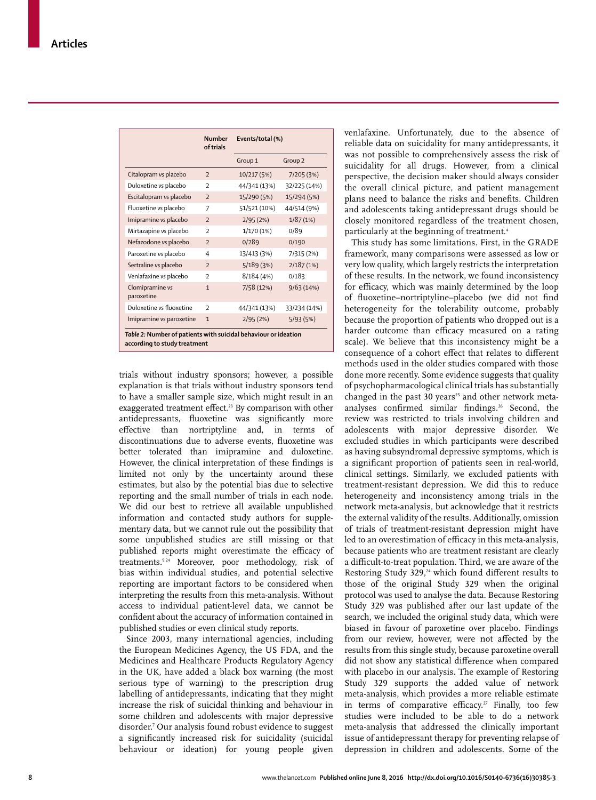|                                                                                                 | <b>Number</b><br>of trials | Events/total (%) |                    |  |  |  |  |  |
|-------------------------------------------------------------------------------------------------|----------------------------|------------------|--------------------|--|--|--|--|--|
|                                                                                                 |                            | Group 1          | Group <sub>2</sub> |  |  |  |  |  |
| Citalopram vs placebo                                                                           | $\overline{2}$             | 10/217 (5%)      | 7/205(3%)          |  |  |  |  |  |
| Duloxetine vs placebo                                                                           | $\overline{\phantom{a}}$   | 44/341 (13%)     | 32/225 (14%)       |  |  |  |  |  |
| Escitalopram vs placebo                                                                         | $\overline{2}$             | 15/290 (5%)      | 15/294 (5%)        |  |  |  |  |  |
| Fluoxetine vs placebo                                                                           | 7                          | 51/521 (10%)     | 44/514 (9%)        |  |  |  |  |  |
| Imipramine vs placebo                                                                           | $\overline{\phantom{0}}$   | 2/95(2%)         | 1/87(1%)           |  |  |  |  |  |
| Mirtazapine vs placebo                                                                          | $\overline{\phantom{a}}$   | 1/170 (1%)       | 0/89               |  |  |  |  |  |
| Nefazodone vs placebo                                                                           | $\overline{2}$             | 0/289            | 0/190              |  |  |  |  |  |
| Paroxetine vs placebo                                                                           | 4                          | 13/413 (3%)      | 7/315 (2%)         |  |  |  |  |  |
| Sertraline vs placebo                                                                           | $\overline{2}$             | 5/189(3%)        | 2/187(1%)          |  |  |  |  |  |
| Venlafaxine vs placebo                                                                          | $\mathcal{P}$              | 8/184(4%)        | 0/183              |  |  |  |  |  |
| Clomipramine vs<br>paroxetine                                                                   | $\mathbf{1}$               | 7/58 (12%)       | 9/63(14%)          |  |  |  |  |  |
| Duloxetine vs fluoxetine                                                                        | $\overline{\phantom{a}}$   | 44/341 (13%)     | 33/234 (14%)       |  |  |  |  |  |
| Imipramine vs paroxetine                                                                        | $\mathbf{1}$               | 2/95(2%)         | 5/93(5%)           |  |  |  |  |  |
| Table 2: Number of patients with suicidal behaviour or ideation<br>according to study treatment |                            |                  |                    |  |  |  |  |  |

trials without industry sponsors; however, a possible explanation is that trials without industry sponsors tend to have a smaller sample size, which might result in an exaggerated treatment effect.<sup>23</sup> By comparison with other antidepressants, fluoxetine was significantly more eff ective than nortriptyline and, in terms of discontinuations due to adverse events, fluoxetine was better tolerated than imipramine and duloxetine. However, the clinical interpretation of these findings is limited not only by the uncertainty around these estimates, but also by the potential bias due to selective reporting and the small number of trials in each node. We did our best to retrieve all available unpublished information and contacted study authors for supplementary data, but we cannot rule out the possibility that some unpublished studies are still missing or that published reports might overestimate the efficacy of treatments.<sup>9,24</sup> Moreover, poor methodology, risk of bias within individual studies, and potential selective reporting are important factors to be considered when interpreting the results from this meta-analysis. Without access to individual patient-level data, we cannot be confident about the accuracy of information contained in published studies or even clinical study reports.

Since 2003, many international agencies, including the European Medicines Agency, the US FDA, and the Medicines and Healthcare Products Regulatory Agency in the UK, have added a black box warning (the most serious type of warning) to the prescription drug labelling of antidepressants, indicating that they might increase the risk of suicidal thinking and behaviour in some children and adolescents with major depressive disorder.7 Our analysis found robust evidence to suggest a significantly increased risk for suicidality (suicidal behaviour or ideation) for young people given

venlafaxine. Unfortunately, due to the absence of reliable data on suicidality for many antidepressants, it was not possible to comprehensively assess the risk of suicidality for all drugs. However, from a clinical perspective, the decision maker should always consider the overall clinical picture, and patient management plans need to balance the risks and benefits. Children and adolescents taking antidepressant drugs should be closely monitored regardless of the treatment chosen, particularly at the beginning of treatment.<sup>4</sup>

This study has some limitations. First, in the GRADE framework, many comparisons were assessed as low or very low quality, which largely restricts the interpretation of these results. In the network, we found inconsistency for efficacy, which was mainly determined by the loop of fluoxetine-nortriptyline-placebo (we did not find heterogeneity for the tolerability outcome, probably because the proportion of patients who dropped out is a harder outcome than efficacy measured on a rating scale). We believe that this inconsistency might be a consequence of a cohort effect that relates to different methods used in the older studies compared with those done more recently. Some evidence suggests that quality of psychopharmacological clinical trials has substantially changed in the past 30 years<sup>25</sup> and other network metaanalyses confirmed similar findings.<sup>26</sup> Second, the review was restricted to trials involving children and adolescents with major depressive disorder. We excluded studies in which participants were described as having subsyndromal depressive symptoms, which is a significant proportion of patients seen in real-world, clinical settings. Similarly, we excluded patients with treatment-resistant depression. We did this to reduce heterogeneity and inconsistency among trials in the network meta-analysis, but acknowledge that it restricts the external validity of the results. Additionally, omission of trials of treatment-resistant depression might have led to an overestimation of efficacy in this meta-analysis, because patients who are treatment resistant are clearly a difficult-to-treat population. Third, we are aware of the Restoring Study 329, $24$  which found different results to those of the original Study 329 when the original protocol was used to analyse the data. Because Restoring Study 329 was published after our last update of the search, we included the original study data, which were biased in favour of paroxetine over placebo. Findings from our review, however, were not affected by the results from this single study, because paroxetine overall did not show any statistical difference when compared with placebo in our analysis. The example of Restoring Study 329 supports the added value of network meta-analysis, which provides a more reliable estimate in terms of comparative efficacy.<sup>27</sup> Finally, too few studies were included to be able to do a network meta-analysis that addressed the clinically important issue of antidepressant therapy for preventing relapse of depression in children and adolescents. Some of the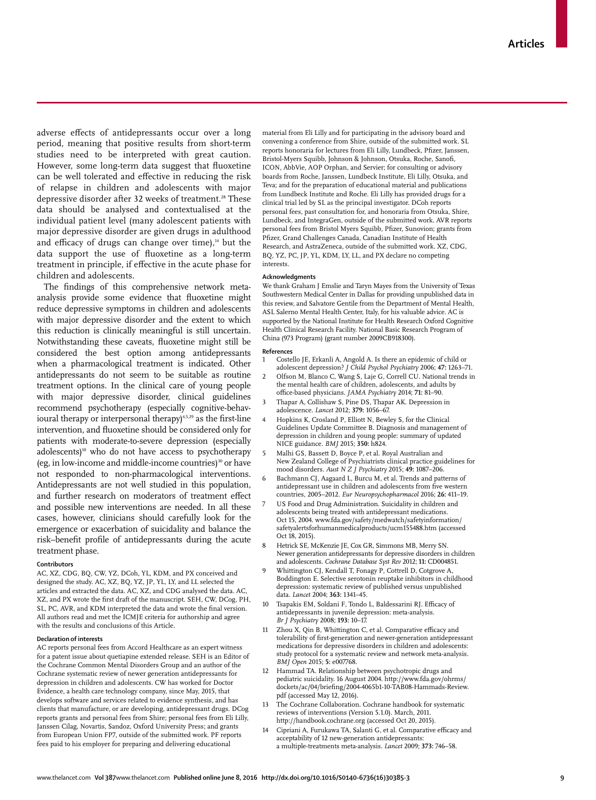adverse effects of antidepressants occur over a long period, meaning that positive results from short-term studies need to be interpreted with great caution. However, some long-term data suggest that fluoxetine can be well tolerated and effective in reducing the risk of relapse in children and adolescents with major depressive disorder after 32 weeks of treatment.<sup>28</sup> These data should be analysed and contextualised at the individual patient level (many adolescent patients with major depressive disorder are given drugs in adulthood and efficacy of drugs can change over time), $14$  but the data support the use of fluoxetine as a long-term treatment in principle, if effective in the acute phase for children and adolescents.

The findings of this comprehensive network metaanalysis provide some evidence that fluoxetine might reduce depressive symptoms in children and adolescents with major depressive disorder and the extent to which this reduction is clinically meaningful is still uncertain. Notwithstanding these caveats, fluoxetine might still be considered the best option among antidepressants when a pharmacological treatment is indicated. Other antidepressants do not seem to be suitable as routine treatment options. In the clinical care of young people with major depressive disorder, clinical guidelines recommend psychotherapy (especially cognitive-behavioural therapy or interpersonal therapy)<sup>4,5,29</sup> as the first-line intervention, and fluoxetine should be considered only for patients with moderate-to-severe depression (especially adolescents)<sup>10</sup> who do not have access to psychotherapy (eg, in low-income and middle-income countries)<sup>30</sup> or have not responded to non-pharmacological interventions. Antidepressants are not well studied in this population, and further research on moderators of treatment effect and possible new interventions are needed. In all these cases, however, clinicians should carefully look for the emergence or exacerbation of suicidality and balance the risk-benefit profile of antidepressants during the acute treatment phase.

#### **Contributors**

AC, XZ, CDG, BQ, CW, YZ, DCoh, YL, KDM, and PX conceived and designed the study. AC, XZ, BQ, YZ, JP, YL, LY, and LL selected the articles and extracted the data. AC, XZ, and CDG analysed the data. AC, XZ, and PX wrote the first draft of the manuscript. SEH, CW, DCog, PH, SL, PC, AVR, and KDM interpreted the data and wrote the final version. All authors read and met the ICMJE criteria for authorship and agree with the results and conclusions of this Article.

#### **Declaration of interests**

AC reports personal fees from Accord Healthcare as an expert witness for a patent issue about quetiapine extended release. SEH is an Editor of the Cochrane Common Mental Disorders Group and an author of the Cochrane systematic review of newer generation antidepressants for depression in children and adolescents. CW has worked for Doctor Evidence, a health care technology company, since May, 2015, that develops software and services related to evidence synthesis, and has clients that manufacture, or are developing, antidepressant drugs. DCog reports grants and personal fees from Shire; personal fees from Eli Lilly, Janssen Cilag, Novartis, Sandoz, Oxford University Press; and grants from European Union FP7, outside of the submitted work. PF reports fees paid to his employer for preparing and delivering educational

material from Eli Lilly and for participating in the advisory board and convening a conference from Shire, outside of the submitted work. SL reports honoraria for lectures from Eli Lilly, Lundbeck, Pfizer, Janssen, Bristol-Myers Squibb, Johnson & Johnson, Otsuka, Roche, Sanofi, ICON, AbbVie, AOP Orphan, and Servier; for consulting or advisory boards from Roche, Janssen, Lundbeck Institute, Eli Lilly, Otsuka, and Teva; and for the preparation of educational material and publications from Lundbeck Institute and Roche. Eli Lilly has provided drugs for a clinical trial led by SL as the principal investigator. DCoh reports personal fees, past consultation for, and honoraria from Otsuka, Shire, Lundbeck, and IntegraGen, outside of the submitted work. AVR reports personal fees from Bristol Myers Squibb, Pfizer, Sunovion; grants from Pfizer, Grand Challenges Canada, Canadian Institute of Health Research, and AstraZeneca, outside of the submitted work. XZ, CDG, BQ, YZ, PC, JP, YL, KDM, LY, LL, and PX declare no competing interests.

#### **Acknowledgments**

We thank Graham J Emslie and Taryn Mayes from the University of Texas Southwestern Medical Center in Dallas for providing unpublished data in this review, and Salvatore Gentile from the Department of Mental Health, ASL Salerno Mental Health Center, Italy, for his valuable advice. AC is supported by the National Institute for Health Research Oxford Cognitive Health Clinical Research Facility. National Basic Research Program of China (973 Program) (grant number 2009CB918300).

#### **References**

- 1 Costello JE, Erkanli A, Angold A. Is there an epidemic of child or adolescent depression? *J Child Psychol Psychiatry* 2006; **47:** 1263–71.
- 2 Olfson M, Blanco C, Wang S, Laje G, Correll CU. National trends in the mental health care of children, adolescents, and adults by office-based physicians. *JAMA Psychiatry* 2014; 71: 81-90.
- 3 Thapar A, Collishaw S, Pine DS, Thapar AK. Depression in adolescence. *Lancet* 2012; **379:** 1056–67.
- 4 Hopkins K, Crosland P, Elliott N, Bewley S, for the Clinical Guidelines Update Committee B. Diagnosis and management of depression in children and young people: summary of updated NICE guidance. *BMJ* 2015; **350:** h824.
- 5 Malhi GS, Bassett D, Boyce P, et al. Royal Australian and New Zealand College of Psychiatrists clinical practice guidelines for mood disorders. *Aust N Z J Psychiatry* 2015; **49:** 1087–206.
- 6 Bachmann CJ, Aagaard L, Burcu M, et al. Trends and patterns of antidepressant use in children and adolescents from five western countries, 2005–2012. *Eur Neuropsychopharmacol* 2016; **26:** 411–19.
- US Food and Drug Administration. Suicidality in children and adolescents being treated with antidepressant medications. Oct 15, 2004. www.fda.gov/safety/medwatch/safetyinformation/ safetyalertsforhumanmedicalproducts/ucm155488.htm (accessed Oct 18, 2015).
- 8 Hetrick SE, McKenzie JE, Cox GR, Simmons MB, Merry SN. Newer generation antidepressants for depressive disorders in children and adolescents. *Cochrane Database Syst Rev* 2012; **11:** CD004851.
- Whittington CJ, Kendall T, Fonagy P, Cottrell D, Cotgrove A, Boddington E. Selective serotonin reuptake inhibitors in childhood depression: systematic review of published versus unpublished data. *Lancet* 2004; **363:** 1341–45.
- 10 Tsapakis EM, Soldani F, Tondo L, Baldessarini RJ, Efficacy of antidepressants in juvenile depression: meta-analysis. *Br J Psychiatry* 2008; **193:** 10–17.
- Zhou X, Qin B, Whittington C, et al. Comparative efficacy and tolerability of first-generation and newer-generation antidepressant medications for depressive disorders in children and adolescents: study protocol for a systematic review and network meta-analysis. *BMJ Open* 2015; **5:** e007768.
- 12 Hammad TA. Relationship between psychotropic drugs and pediatric suicidality. 16 August 2004. http://www.fda.gov/ohrms/ dockets/ac/04/briefing/2004-4065b1-10-TAB08-Hammads-Review. pdf (accessed May 12, 2016).
- The Cochrane Collaboration. Cochrane handbook for systematic reviews of interventions (Version 5.1.0). March, 2011. http://handbook.cochrane.org (accessed Oct 20, 2015).
- 14 Cipriani A, Furukawa TA, Salanti G, et al. Comparative efficacy and acceptability of 12 new-generation antidepressants: a multiple-treatments meta-analysis. *Lancet* 2009; **373:** 746–58.